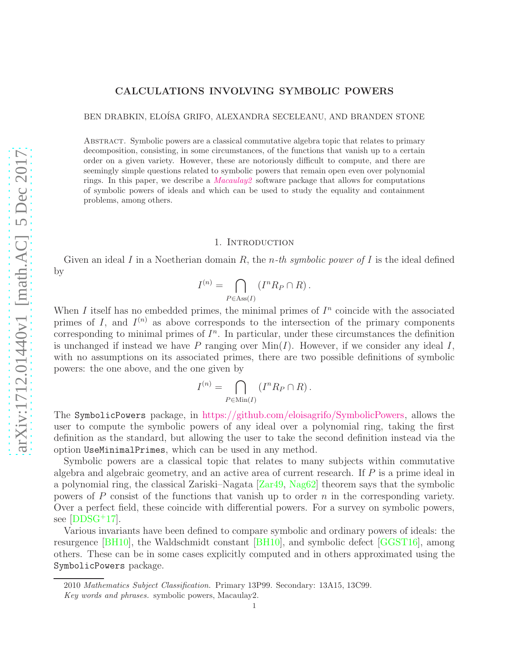# CALCULATIONS INVOLVING SYMBOLIC POWERS

BEN DRABKIN, ELOÍSA GRIFO, ALEXANDRA SECELEANU, AND BRANDEN STONE

Abstract. Symbolic powers are a classical commutative algebra topic that relates to primary decomposition, consisting, in some circumstances, of the functions that vanish up to a certain order on a given variety. However, these are notoriously difficult to compute, and there are seemingly simple questions related to symbolic powers that remain open even over polynomial rings. In this paper, we describe a *[Macaulay2](https://faculty.math.illinois.edu/Macaulay2/)* software package that allows for computations of symbolic powers of ideals and which can be used to study the equality and containment problems, among others.

## 1. INTRODUCTION

Given an ideal I in a Noetherian domain R, the *n*-th symbolic power of I is the ideal defined by

$$
I^{(n)} = \bigcap_{P \in \text{Ass}(I)} \left( I^n R_P \cap R \right).
$$

When I itself has no embedded primes, the minimal primes of  $I<sup>n</sup>$  coincide with the associated primes of I, and  $I^{(n)}$  as above corresponds to the intersection of the primary components corresponding to minimal primes of  $I<sup>n</sup>$ . In particular, under these circumstances the definition is unchanged if instead we have P ranging over  $\text{Min}(I)$ . However, if we consider any ideal I, with no assumptions on its associated primes, there are two possible definitions of symbolic powers: the one above, and the one given by

$$
I^{(n)} = \bigcap_{P \in \text{Min}(I)} (I^n R_P \cap R).
$$

The SymbolicPowers package, in [https://github.com/eloisagrifo/SymbolicPowers,](https://github.com/eloisagrifo/SymbolicPowers) allows the user to compute the symbolic powers of any ideal over a polynomial ring, taking the first definition as the standard, but allowing the user to take the second definition instead via the option UseMinimalPrimes, which can be used in any method.

Symbolic powers are a classical topic that relates to many subjects within commutative algebra and algebraic geometry, and an active area of current research. If  $P$  is a prime ideal in a polynomial ring, the classical Zariski–Nagata [\[Zar49,](#page-5-0) [Nag62\]](#page-5-1) theorem says that the symbolic powers of P consist of the functions that vanish up to order n in the corresponding variety. Over a perfect field, these coincide with differential powers. For a survey on symbolic powers, see  $[DDSG+17]$ .

Various invariants have been defined to compare symbolic and ordinary powers of ideals: the resurgence [\[BH10\]](#page-5-3), the Waldschmidt constant [\[BH10\]](#page-5-3), and symbolic defect [\[GGST16\]](#page-5-4), among others. These can be in some cases explicitly computed and in others approximated using the SymbolicPowers package.

<sup>2010</sup> *Mathematics Subject Classification.* Primary 13P99. Secondary: 13A15, 13C99.

*Key words and phrases.* symbolic powers, Macaulay2.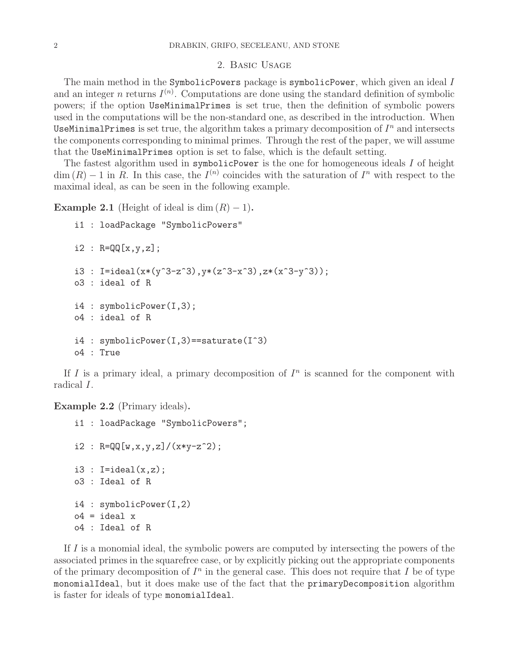#### 2. Basic Usage

The main method in the SymbolicPowers package is symbolicPower, which given an ideal I and an integer n returns  $I^{(n)}$ . Computations are done using the standard definition of symbolic powers; if the option UseMinimalPrimes is set true, then the definition of symbolic powers used in the computations will be the non-standard one, as described in the introduction. When UseMinimalPrimes is set true, the algorithm takes a primary decomposition of  $I<sup>n</sup>$  and intersects the components corresponding to minimal primes. Through the rest of the paper, we will assume that the UseMinimalPrimes option is set to false, which is the default setting.

The fastest algorithm used in symbolicPower is the one for homogeneous ideals I of height  $\dim(R) - 1$  in R. In this case, the  $I^{(n)}$  coincides with the saturation of  $I^n$  with respect to the maximal ideal, as can be seen in the following example.

**Example 2.1** (Height of ideal is dim  $(R) - 1$ ).

```
i1 : loadPackage "SymbolicPowers"
i2 : R = QQ[x, y, z];i3 : I=ideal(x*(y^3-z^3),y*(z^3-x^3),z*(x^3-y^3));
o3 : ideal of R
i4 : symbolicPower(I,3);
o4 : ideal of R
i4 : symbolicPower(I,3)==saturate(I^3)
o4 : True
```
If I is a primary ideal, a primary decomposition of  $I<sup>n</sup>$  is scanned for the component with radical I.

Example 2.2 (Primary ideals).

```
i1 : loadPackage "SymbolicPowers";
i2 : R = QQ[w, x, y, z]/(x*y-z^2);i3 : I = ideal(x, z);o3 : Ideal of R
i4 : symbolicPower(I,2)
o4 = ideal xo4 : Ideal of R
```
If I is a monomial ideal, the symbolic powers are computed by intersecting the powers of the associated primes in the squarefree case, or by explicitly picking out the appropriate components of the primary decomposition of  $I<sup>n</sup>$  in the general case. This does not require that I be of type monomialIdeal, but it does make use of the fact that the primaryDecomposition algorithm is faster for ideals of type monomialIdeal.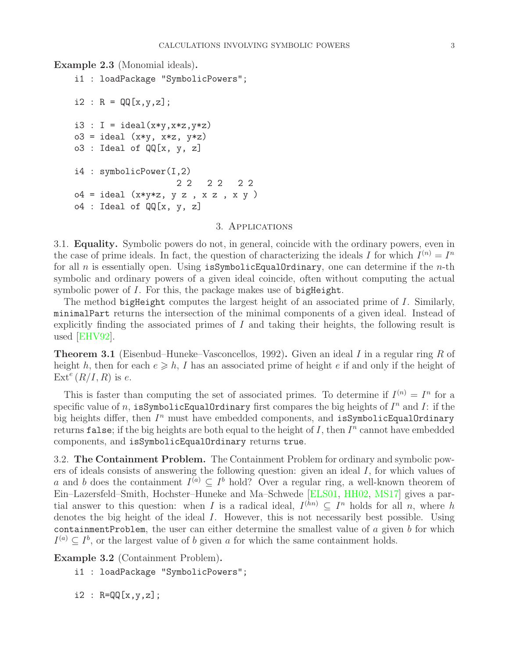Example 2.3 (Monomial ideals).

```
i1 : loadPackage "SymbolicPowers";
i2 : R = QQ[x,y,z];i3 : I = ideal(x*y, x*z, y*z)o3 = ideal (x*y, x*z, y*z)o3 : Ideal of QQ[x, y, z]i4 : symbolicPower(I,2)
                   2 2 2 2 2 2
o4 = ideal (x*y*z, y z, x z, x y)o4 : Ideal of QQ[x, y, z]
```
### 3. Applications

3.1. Equality. Symbolic powers do not, in general, coincide with the ordinary powers, even in the case of prime ideals. In fact, the question of characterizing the ideals I for which  $I^{(n)} = I^n$ for all n is essentially open. Using isSymbolicEqualOrdinary, one can determine if the n-th symbolic and ordinary powers of a given ideal coincide, often without computing the actual symbolic power of I. For this, the package makes use of bigHeight.

The method bigHeight computes the largest height of an associated prime of I. Similarly, minimalPart returns the intersection of the minimal components of a given ideal. Instead of explicitly finding the associated primes of  $I$  and taking their heights, the following result is used [\[EHV92\]](#page-5-5).

**Theorem 3.1** (Eisenbud–Huneke–Vasconcellos, 1992). Given an ideal I in a regular ring R of height h, then for each  $e \geq h$ , I has an associated prime of height e if and only if the height of  $\operatorname{Ext}^e(R/I,R)$  is e.

This is faster than computing the set of associated primes. To determine if  $I^{(n)} = I^n$  for a specific value of n, is Symbolic Equal Ordinary first compares the big heights of  $I^n$  and  $I$ : if the big heights differ, then  $I^n$  must have embedded components, and isSymbolicEqualOrdinary returns false; if the big heights are both equal to the height of I, then  $I<sup>n</sup>$  cannot have embedded components, and isSymbolicEqualOrdinary returns true.

3.2. The Containment Problem. The Containment Problem for ordinary and symbolic powers of ideals consists of answering the following question: given an ideal I, for which values of a and b does the containment  $I^{(a)} \subseteq I^b$  hold? Over a regular ring, a well-known theorem of Ein–Lazersfeld–Smith, Hochster–Huneke and Ma–Schwede [\[ELS01,](#page-5-6) [HH02,](#page-5-7) [MS17\]](#page-5-8) gives a partial answer to this question: when I is a radical ideal,  $I^{(hn)} \subseteq I^n$  holds for all n, where h denotes the big height of the ideal I. However, this is not necessarily best possible. Using containmentProblem, the user can either determine the smallest value of  $a$  given  $b$  for which  $I^{(a)} \subseteq I^b$ , or the largest value of b given a for which the same containment holds.

Example 3.2 (Containment Problem).

i1 : loadPackage "SymbolicPowers";

 $i2 : R = QQ[x, y, z];$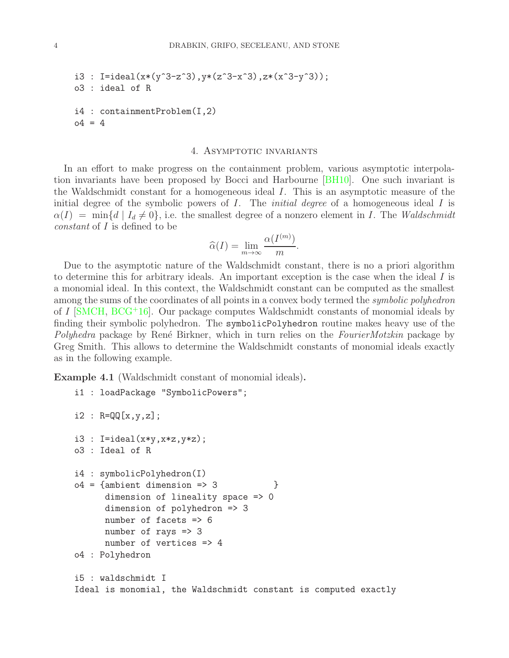```
i3 : I=ideal(x*(y^3-z^3),y*(z^3-x^3),z*(x^3-y^3));
o3 : ideal of R
i4 : containmentProblem(I,2)
04 = 4
```
#### 4. Asymptotic invariants

In an effort to make progress on the containment problem, various asymptotic interpolation invariants have been proposed by Bocci and Harbourne [\[BH10\]](#page-5-3). One such invariant is the Waldschmidt constant for a homogeneous ideal I. This is an asymptotic measure of the initial degree of the symbolic powers of  $I$ . The *initial degree* of a homogeneous ideal  $I$  is  $\alpha(I) = \min\{d \mid I_d \neq 0\}$ , i.e. the smallest degree of a nonzero element in I. The Waldschmidt constant of I is defined to be

$$
\widehat{\alpha}(I) = \lim_{m \to \infty} \frac{\alpha(I^{(m)})}{m}.
$$

Due to the asymptotic nature of the Waldschmidt constant, there is no a priori algorithm to determine this for arbitrary ideals. An important exception is the case when the ideal  $I$  is a monomial ideal. In this context, the Waldschmidt constant can be computed as the smallest among the sums of the coordinates of all points in a convex body termed the *symbolic polyhedron* of I [\[SMCH,](#page-5-9) [BCG](#page-5-10)<sup>+</sup>16]. Our package computes Waldschmidt constants of monomial ideals by finding their symbolic polyhedron. The symbolicPolyhedron routine makes heavy use of the Polyhedra package by René Birkner, which in turn relies on the FourierMotzkin package by Greg Smith. This allows to determine the Waldschmidt constants of monomial ideals exactly as in the following example.

Example 4.1 (Waldschmidt constant of monomial ideals).

i1 : loadPackage "SymbolicPowers";

```
i2 : R = QQ[x, y, z];i3 : I=ideal(x*y,x*z,y*z);
o3 : Ideal of R
i4 : symbolicPolyhedron(I)
o4 = {ambient dimension \Rightarrow 3}dimension of lineality space => 0
      dimension of polyhedron => 3
      number of facets => 6
      number of rays \Rightarrow 3
      number of vertices => 4
o4 : Polyhedron
i5 : waldschmidt I
Ideal is monomial, the Waldschmidt constant is computed exactly
```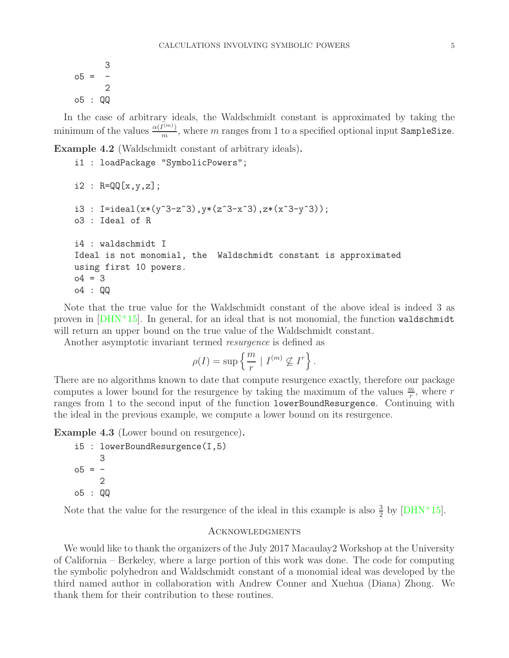$$
05 = \frac{3}{2}
$$
  

$$
05 : \mathbb{Q} \mathbb{Q}
$$

In the case of arbitrary ideals, the Waldschmidt constant is approximated by taking the minimum of the values  $\frac{\alpha(I^{(m)})}{m}$ , where m ranges from 1 to a specified optional input SampleSize.

Example 4.2 (Waldschmidt constant of arbitrary ideals).

```
i1 : loadPackage "SymbolicPowers";
i2 : R = QQ[x, y, z];i3 : I=ideal(x*(y^3-z^3),y*(z^3-x^3),z*(x^3-y^3));
o3 : Ideal of R
i4 : waldschmidt I
Ideal is not monomial, the Waldschmidt constant is approximated
using first 10 powers.
o4 = 3o4 : QQ
```
Note that the true value for the Waldschmidt constant of the above ideal is indeed 3 as proven in  $[DHN+15]$ . In general, for an ideal that is not monomial, the function waldschmidt will return an upper bound on the true value of the Waldschmidt constant.

Another asymptotic invariant termed *resurgence* is defined as

$$
\rho(I) = \sup \left\{ \frac{m}{r} \mid I^{(m)} \nsubseteq I^r \right\}.
$$

There are no algorithms known to date that compute resurgence exactly, therefore our package computes a lower bound for the resurgence by taking the maximum of the values  $\frac{m}{r}$ , where r ranges from 1 to the second input of the function lowerBoundResurgence. Continuing with the ideal in the previous example, we compute a lower bound on its resurgence.

Example 4.3 (Lower bound on resurgence).

```
i5 : lowerBoundResurgence(I,5)
     3
-5 = -2
o5 : QQ
```
Note that the value for the resurgence of the ideal in this example is also  $\frac{3}{2}$  by [\[DHN](#page-5-11)<sup>+</sup>15].

### **ACKNOWLEDGMENTS**

We would like to thank the organizers of the July 2017 Macaulay 2Workshop at the University of California – Berkeley, where a large portion of this work was done. The code for computing the symbolic polyhedron and Waldschmidt constant of a monomial ideal was developed by the third named author in collaboration with Andrew Conner and Xuehua (Diana) Zhong. We thank them for their contribution to these routines.